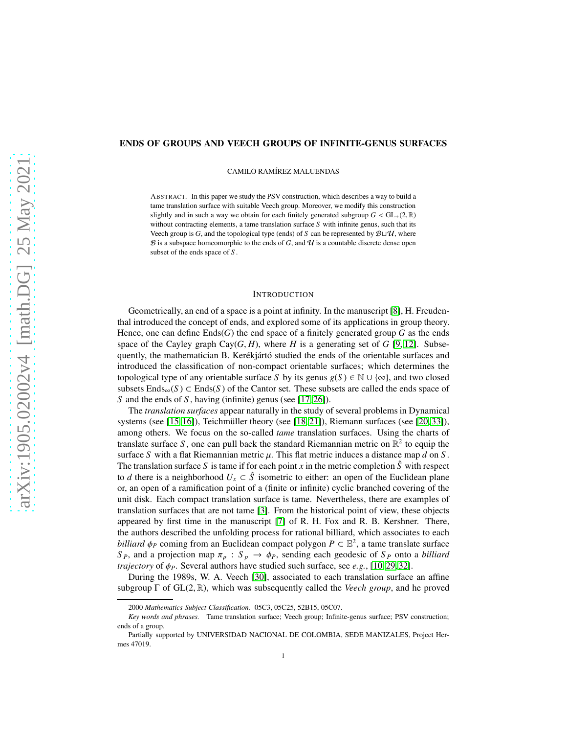# ENDS OF GROUPS AND VEECH GROUPS OF INFINITE-GENUS SURFACES

CAMILO RAMÍREZ MALUENDAS

ABSTRACT. In this paper we study the PSV construction, which describes a way to build a tame translation surface with suitable Veech group. Moreover, we modify this construction slightly and in such a way we obtain for each finitely generated subgroup  $G < GL_+(2,\mathbb{R})$ without contracting elements, a tame translation surface *S* with infinite genus, such that its Veech group is *G*, and the topological type (ends) of *S* can be represented by  $B \sqcup \mathcal{U}$ , where  $\mathcal B$  is a subspace homeomorphic to the ends of  $G$ , and  $\mathcal U$  is a countable discrete dense open subset of the ends space of *S* .

## INTRODUCTION

Geometrically, an end of a space is a point at infinity. In the manuscript [\[8\]](#page-14-0), H. Freudenthal introduced the concept of ends, and explored some of its applications in group theory. Hence, one can define  $Ends(G)$  the end space of a finitely generated group G as the ends space of the Cayley graph Cay $(G, H)$ , where *H* is a generating set of *G* [\[9,](#page-14-1) [12\]](#page-14-2). Subsequently, the mathematician B. Kerékjártó studied the ends of the orientable surfaces and introduced the classification of non-compact orientable surfaces; which determines the topological type of any orientable surface *S* by its genus  $g(S) \in \mathbb{N} \cup \{\infty\}$ , and two closed subsets  $Ends_{\infty}(S) \subset Ends(S)$  of the Cantor set. These subsets are called the ends space of *S* and the ends of *S* , having (infinite) genus (see [\[17,](#page-14-3) [26\]](#page-14-4)).

The *translation surfaces* appear naturally in the study of several problems in Dynamical systems (see [\[15,](#page-14-5) [16\]](#page-14-6)), Teichmüller theory (see [\[18,](#page-14-7) [21\]](#page-14-8)), Riemann surfaces (see [\[20,](#page-14-9) [33\]](#page-15-0)), among others. We focus on the so-called *tame* translation surfaces. Using the charts of translate surface S, one can pull back the standard Riemannian metric on  $\mathbb{R}^2$  to equip the surface *S* with a flat Riemannian metric  $\mu$ . This flat metric induces a distance map *d* on *S*. The translation surface S is tame if for each point  $x$  in the metric completion  $\hat{S}$  with respect to *d* there is a neighborhood  $U_x \subset \hat{S}$  isometric to either: an open of the Euclidean plane or, an open of a ramification point of a (finite or infinite) cyclic branched covering of the unit disk. Each compact translation surface is tame. Nevertheless, there are examples of translation surfaces that are not tame [\[3\]](#page-14-10). From the historical point of view, these objects appeared by first time in the manuscript [\[7\]](#page-14-11) of R. H. Fox and R. B. Kershner. There, the authors described the unfolding process for rational billiard, which associates to each *billiard*  $\phi_P$  coming from an Euclidean compact polygon  $P \subset \mathbb{E}^2$ , a tame translate surface *S P*, and a projection map  $\pi_p$  :  $S_p \rightarrow \phi_p$ , sending each geodesic of  $S_p$  onto a *billiard trajectory* of  $\phi$ *P*. Several authors have studied such surface, see *e.g.*, [\[10,](#page-14-12) [29,](#page-14-13) [32\]](#page-15-1).

During the 1989s, W. A. Veech [\[30\]](#page-14-14), associated to each translation surface an affine subgroup  $\Gamma$  of  $GL(2,\mathbb{R})$ , which was subsequently called the *Veech group*, and he proved

<sup>2000</sup> *Mathematics Subject Classification.* 05C3, 05C25, 52B15, 05C07.

*Key words and phrases.* Tame translation surface; Veech group; Infinite-genus surface; PSV construction; ends of a group.

Partially supported by UNIVERSIDAD NACIONAL DE COLOMBIA, SEDE MANIZALES, Project Hermes 47019.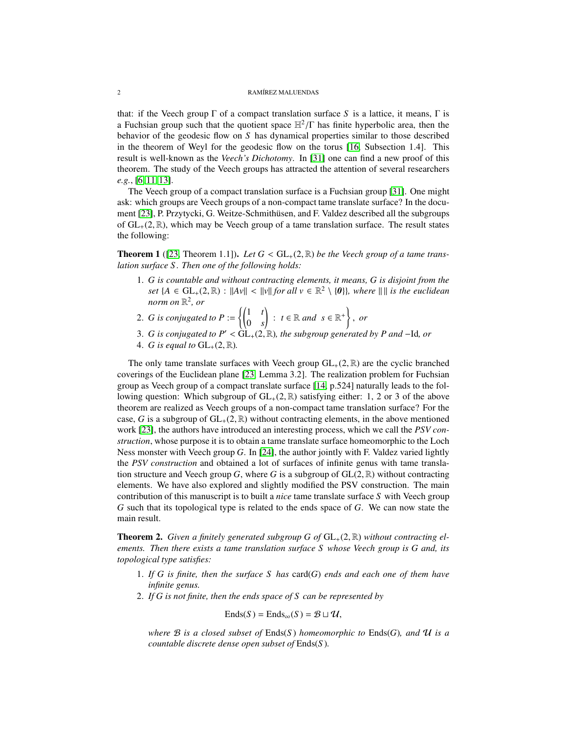that: if the Veech group  $\Gamma$  of a compact translation surface *S* is a lattice, it means,  $\Gamma$  is a Fuchsian group such that the quotient space  $\mathbb{H}^2/\Gamma$  has finite hyperbolic area, then the behavior of the geodesic flow on *S* has dynamical properties similar to those described in the theorem of Weyl for the geodesic flow on the torus [\[16,](#page-14-6) Subsection 1.4]. This result is well-known as the *Veech's Dichotomy*. In [\[31\]](#page-14-15) one can find a new proof of this theorem. The study of the Veech groups has attracted the attention of several researchers *e.g.*, [\[6,](#page-14-16) [11,](#page-14-17) [13\]](#page-14-18).

The Veech group of a compact translation surface is a Fuchsian group [\[31\]](#page-14-15). One might ask: which groups are Veech groups of a non-compact tame translate surface? In the document [\[23\]](#page-14-19), P. Przytycki, G. Weitze-Schmithüsen, and F. Valdez described all the subgroups of  $GL_+(2,\mathbb{R})$ , which may be Veech group of a tame translation surface. The result states the following:

**Theorem 1** ([\[23,](#page-14-19) Theorem 1.1]). Let  $G < GL_+(2, \mathbb{R})$  be the Veech group of a tame trans*lation surface S . Then one of the following holds:*

- 1. *G is countable and without contracting elements, it means, G is disjoint from the set*  $\{A \in GL_+(2, \mathbb{R}) : ||Av|| < ||v||$  *for all*  $v \in \mathbb{R}^2 \setminus \{0\}$ *, where*  $|| ||$  *is the euclidean norm on* R 2 *, or*
- 2. *G* is conjugated to  $P := \begin{cases} \begin{pmatrix} 1 & t \\ 0 & t \end{pmatrix} \end{cases}$ 0 *s*  $\Big\}$  :  $t \in \mathbb{R}$  and  $s \in \mathbb{R}^+$ , *or*
- 3. *G is conjugated to P*′ <sup>&</sup>lt; GL+(2, <sup>R</sup>)*, the subgroup generated by P and* <sup>−</sup>Id*, or*
- 4. *G* is equal to  $GL_+(2, \mathbb{R})$ .

The only tame translate surfaces with Veech group  $GL_+(2, \mathbb{R})$  are the cyclic branched coverings of the Euclidean plane [\[23,](#page-14-19) Lemma 3.2]. The realization problem for Fuchsian group as Veech group of a compact translate surface [\[14,](#page-14-20) p.524] naturally leads to the following question: Which subgroup of  $GL_+(2,\mathbb{R})$  satisfying either: 1, 2 or 3 of the above theorem are realized as Veech groups of a non-compact tame translation surface? For the case, *G* is a subgroup of  $GL_+(2,\mathbb{R})$  without contracting elements, in the above mentioned work [\[23\]](#page-14-19), the authors have introduced an interesting process, which we call the *PSV construction*, whose purpose it is to obtain a tame translate surface homeomorphic to the Loch Ness monster with Veech group *G*. In [\[24\]](#page-14-21), the author jointly with F. Valdez varied lightly the *PSV construction* and obtained a lot of surfaces of infinite genus with tame translation structure and Veech group *G*, where *G* is a subgroup of  $GL(2, \mathbb{R})$  without contracting elements. We have also explored and slightly modified the PSV construction. The main contribution of this manuscript is to built a *nice* tame translate surface *S* with Veech group *G* such that its topological type is related to the ends space of *G*. We can now state the main result.

<span id="page-1-0"></span>**Theorem 2.** Given a finitely generated subgroup G of  $GL_+(2,\mathbb{R})$  without contracting el*ements. Then there exists a tame translation surface S whose Veech group is G and, its topological type satisfies:*

- 1. *If G is finite, then the surface S has* card(*G*) *ends and each one of them have infinite genus.*
- 2. *If G is not finite, then the ends space of S can be represented by*

$$
Ends(S) = Ends_{\infty}(S) = \mathcal{B} \sqcup \mathcal{U},
$$

*where* B *is a closed subset of* Ends(*S* ) *homeomorphic to* Ends(*G*)*, and* U *is a countable discrete dense open subset of* Ends(*S* )*.*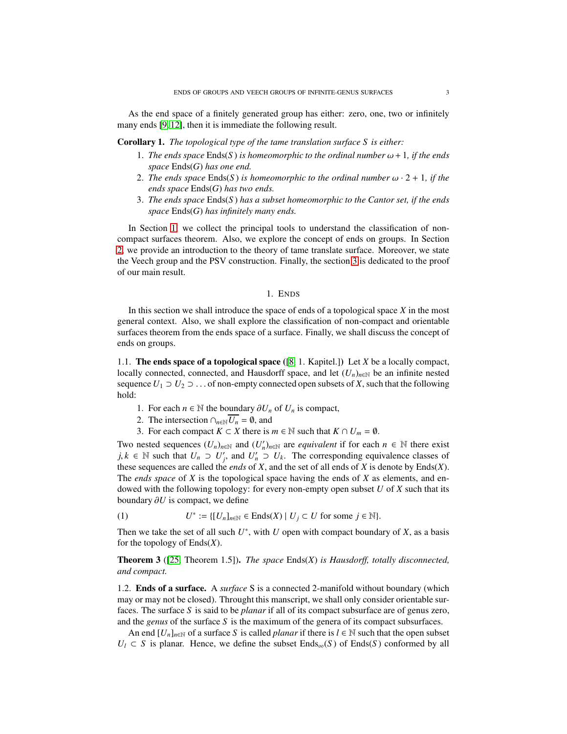As the end space of a finitely generated group has either: zero, one, two or infinitely many ends [\[9,](#page-14-1) [12\]](#page-14-2), then it is immediate the following result.

Corollary 1. *The topological type of the tame translation surface S is either:*

- 1. The ends space  $End(s)$  is homeomorphic to the ordinal number  $\omega + 1$ , if the ends *space* Ends(*G*) *has one end.*
- 2. *The ends space* Ends(*S*) *is homeomorphic to the ordinal number*  $\omega \cdot 2 + 1$ *, if the ends space* Ends(*G*) *has two ends.*
- 3. *The ends space* Ends(*S* ) *has a subset homeomorphic to the Cantor set, if the ends space* Ends(*G*) *has infinitely many ends.*

In Section [1,](#page-2-0) we collect the principal tools to understand the classification of noncompact surfaces theorem. Also, we explore the concept of ends on groups. In Section [2,](#page-3-0) we provide an introduction to the theory of tame translate surface. Moreover, we state the Veech group and the PSV construction. Finally, the section [3](#page-6-0) is dedicated to the proof of our main result.

### 1. ENDS

<span id="page-2-0"></span>In this section we shall introduce the space of ends of a topological space *X* in the most general context. Also, we shall explore the classification of non-compact and orientable surfaces theorem from the ends space of a surface. Finally, we shall discuss the concept of ends on groups.

1.1. The ends space of a topological space ([\[8,](#page-14-0) 1. Kapitel.]) Let *X* be a locally compact, locally connected, connected, and Hausdorff space, and let  $(U_n)_{n\in\mathbb{N}}$  be an infinite nested sequence  $U_1 \supset U_2 \supset \ldots$  of non-empty connected open subsets of *X*, such that the following hold:

- 1. For each *n* ∈  $\mathbb N$  the boundary  $\partial U_n$  of  $U_n$  is compact,
- 2. The intersection  $\cap_{n\in\mathbb{N}}\overline{U_n} = \emptyset$ , and
- 3. For each compact  $K \subset X$  there is  $m \in \mathbb{N}$  such that  $K \cap U_m = \emptyset$ .

Two nested sequences  $(U_n)_{n \in \mathbb{N}}$  and  $(U'_n)_{n \in \mathbb{N}}$  are *equivalent* if for each  $n \in \mathbb{N}$  there exist *j*,  $k \in \mathbb{N}$  such that  $U_n \supset U'_j$ , and  $U'_n \supset U_k$ . The corresponding equivalence classes of these sequences are called the *ends* of *X*, and the set of all ends of *X* is denote by Ends(*X*). The *ends space* of *X* is the topological space having the ends of *X* as elements, and endowed with the following topology: for every non-empty open subset *U* of *X* such that its boundary ∂*U* is compact, we define

(1) 
$$
U^* := \{ [U_n]_{n \in \mathbb{N}} \in \text{Ends}(X) \mid U_j \subset U \text{ for some } j \in \mathbb{N} \}.
$$

Then we take the set of all such  $U^*$ , with  $U$  open with compact boundary of  $X$ , as a basis for the topology of Ends(*X*).

Theorem 3 ([\[25,](#page-14-22) Theorem 1.5]). *The space* Ends(*X*) *is Hausdorff, totally disconnected, and compact.*

1.2. Ends of a surface. A *surface* S is a connected 2-manifold without boundary (which may or may not be closed). Throught this manscript, we shall only consider orientable surfaces. The surface *S* is said to be *planar* if all of its compact subsurface are of genus zero, and the *genus* of the surface *S* is the maximum of the genera of its compact subsurfaces.

An end  $[U_n]_{n\in\mathbb{N}}$  of a surface *S* is called *planar* if there is  $l \in \mathbb{N}$  such that the open subset  $U_l \subset S$  is planar. Hence, we define the subset Ends<sub>∞</sub>(*S*) of Ends(*S*) conformed by all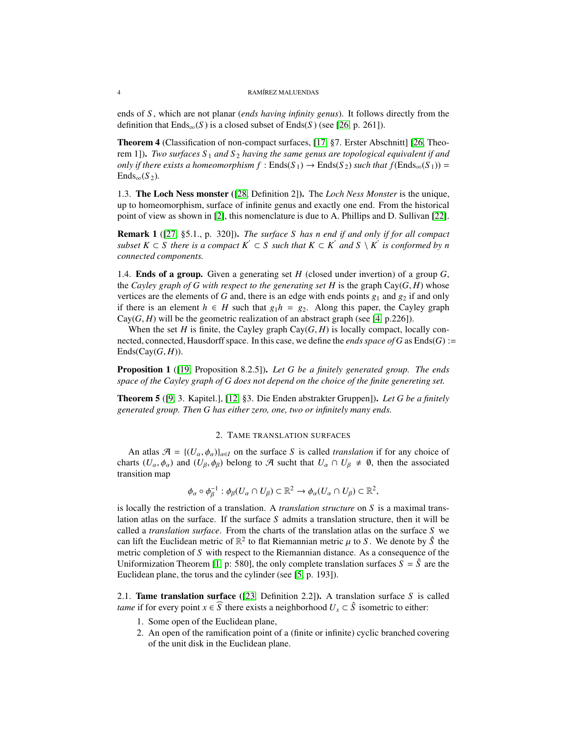ends of *S* , which are not planar (*ends having infinity genus*). It follows directly from the definition that  $Ends_{\infty}(S)$  is a closed subset of  $Ends(S)$  (see [\[26,](#page-14-4) p. 261]).

Theorem 4 (Classification of non-compact surfaces, [\[17,](#page-14-3) §7. Erster Abschnitt] [\[26,](#page-14-4) Theorem 1]). *Two surfaces*  $S_1$  *and*  $S_2$  *having the same genus are topological equivalent if and only if there exists a homeomorphism f* :  $Ends(S_1) \rightarrow Ends(S_2)$  *such that f*( $Ends_{\infty}(S_1)$ ) =  $Ends_{\infty}(S_2)$ .

1.3. The Loch Ness monster ([\[28,](#page-14-23) Definition 2]). The *Loch Ness Monster* is the unique, up to homeomorphism, surface of infinite genus and exactly one end. From the historical point of view as shown in [\[2\]](#page-14-24), this nomenclature is due to A. Phillips and D. Sullivan [\[22\]](#page-14-25).

Remark 1 ([\[27,](#page-14-26) §5.1., p. 320]). *The surface S has n end if and only if for all compact subset K* ⊂ *S* there is a compact  $K'$  ⊂ *S* such that  $K \subset K'$  and  $S \setminus K'$  is conformed by n *connected components.*

1.4. Ends of a group. Given a generating set *H* (closed under invertion) of a group *G*, the *Cayley graph of G with respect to the generating set H* is the graph  $Cay(G, H)$  whose vertices are the elements of *G* and, there is an edge with ends points  $g_1$  and  $g_2$  if and only if there is an element *h* ∈ *H* such that  $g_1 h = g_2$ . Along this paper, the Cayley graph  $Cay(G, H)$  will be the geometric realization of an abstract graph (see [\[4,](#page-14-27) p.226]).

When the set *H* is finite, the Cayley graph  $Cay(G, H)$  is locally compact, locally connected, connected, Hausdorff space. In this case, we define the *ends space of G* as Ends(*G*) :=  $Ends(Cay(G,H)).$ 

Proposition 1 ([\[19,](#page-14-28) Proposition 8.2.5]). *Let G be a finitely generated group. The ends space of the Cayley graph of G does not depend on the choice of the finite genereting set.*

<span id="page-3-0"></span>Theorem 5 ([\[9,](#page-14-1) 3. Kapitel.], [\[12,](#page-14-2) §3. Die Enden abstrakter Gruppen]). *Let G be a finitely generated group. Then G has either zero, one, two or infinitely many ends.*

#### 2. TAME TRANSLATION SURFACES

An atlas  $\mathcal{A} = \{ (U_\alpha, \phi_\alpha) \}_{\alpha \in I}$  on the surface *S* is called *translation* if for any choice of charts  $(U_{\alpha}, \phi_{\alpha})$  and  $(U_{\beta}, \phi_{\beta})$  belong to A sucht that  $U_{\alpha} \cap U_{\beta} \neq \emptyset$ , then the associated transition map

$$
\phi_{\alpha} \circ \phi_{\beta}^{-1} : \phi_{\beta}(U_{\alpha} \cap U_{\beta}) \subset \mathbb{R}^2 \to \phi_{\alpha}(U_{\alpha} \cap U_{\beta}) \subset \mathbb{R}^2,
$$

is locally the restriction of a translation. A *translation structure* on *S* is a maximal translation atlas on the surface. If the surface *S* admits a translation structure, then it will be called a *translation surface*. From the charts of the translation atlas on the surface *S* we can lift the Euclidean metric of  $\mathbb{R}^2$  to flat Riemannian metric  $\mu$  to *S*. We denote by  $\hat{S}$  the metric completion of *S* with respect to the Riemannian distance. As a consequence of the Uniformization Theorem [\[1,](#page-14-29) p: 580], the only complete translation surfaces  $S = \hat{S}$  are the Euclidean plane, the torus and the cylinder (see [\[5,](#page-14-30) p. 193]).

2.1. Tame translation surface ([\[23,](#page-14-19) Definition 2.2]). A translation surface *S* is called *tame* if for every point  $x \in \overline{S}$  there exists a neighborhood  $U_x \subset \hat{S}$  isometric to either:

- 1. Some open of the Euclidean plane,
- 2. An open of the ramification point of a (finite or infinite) cyclic branched covering of the unit disk in the Euclidean plane.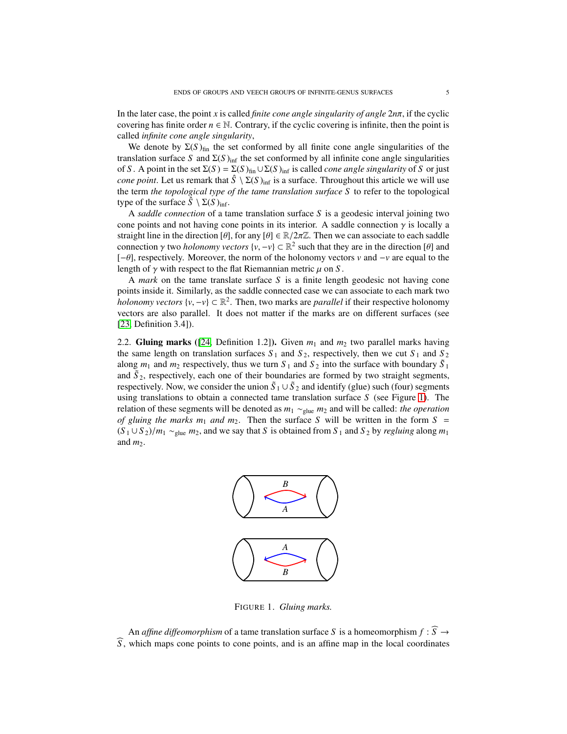In the later case, the point *x* is called *finite cone angle singularity of angle* 2*n*π, if the cyclic covering has finite order  $n \in \mathbb{N}$ . Contrary, if the cyclic covering is infinite, then the point is called *infinite cone angle singularity*,

We denote by  $\Sigma(S)_{fin}$  the set conformed by all finite cone angle singularities of the translation surface *S* and  $\Sigma(S)_{\text{inf}}$  the set conformed by all infinite cone angle singularities of *S* . A point in the set  $\Sigma(S) = \Sigma(S)_{fin} \cup \Sigma(S)_{inf}$  is called *cone angle singularity* of *S* or just *cone point*. Let us remark that  $\hat{S} \setminus \Sigma(S)_{\text{inf}}$  is a surface. Throughout this article we will use the term *the topological type of the tame translation surface S* to refer to the topological type of the surface  $\hat{S} \setminus \Sigma(S)_{\text{inf}}$ .

A *saddle connection* of a tame translation surface *S* is a geodesic interval joining two cone points and not having cone points in its interior. A saddle connection  $\gamma$  is locally a straight line in the direction  $[\theta]$ , for any  $[\theta] \in \mathbb{R}/2\pi\mathbb{Z}$ . Then we can associate to each saddle connection  $\gamma$  two *holonomy vectors*  $\{v, -v\} \subset \mathbb{R}^2$  such that they are in the direction [θ] and [−θ], respectively. Moreover, the norm of the holonomy vectors *v* and −*v* are equal to the length of  $\gamma$  with respect to the flat Riemannian metric  $\mu$  on *S*.

A *mark* on the tame translate surface *S* is a finite length geodesic not having cone points inside it. Similarly, as the saddle connected case we can associate to each mark two *holonomy vectors*  $\{v, -v\} \subset \mathbb{R}^2$ . Then, two marks are *parallel* if their respective holonomy vectors are also parallel. It does not matter if the marks are on different surfaces (see [\[23,](#page-14-19) Definition 3.4]).

<span id="page-4-0"></span>2.2. Gluing marks ([\[24,](#page-14-21) Definition 1.2]). Given  $m_1$  and  $m_2$  two parallel marks having the same length on translation surfaces  $S_1$  and  $S_2$ , respectively, then we cut  $S_1$  and  $S_2$ along  $m_1$  and  $m_2$  respectively, thus we turn  $S_1$  and  $S_2$  into the surface with boundary  $\tilde{S}_1$ and  $\tilde{S}_2$ , respectively, each one of their boundaries are formed by two straight segments, respectively. Now, we consider the union  $\tilde{S}_1 \cup \tilde{S}_2$  and identify (glue) such (four) segments using translations to obtain a connected tame translation surface *S* (see Figure [1\)](#page-4-0). The relation of these segments will be denoted as *m*<sup>1</sup> ∼glue *m*<sup>2</sup> and will be called: *the operation of gluing the marks*  $m_1$  *and*  $m_2$ . Then the surface *S* will be written in the form  $S =$  $(S_1 \cup S_2)/m_1 \sim_{glue} m_2$ , and we say that *S* is obtained from  $S_1$  and  $S_2$  by *regluing* along  $m_1$ and  $m_2$ .



FIGURE 1. *Gluing marks.*

An *affine diffeomorphism* of a tame translation surface *S* is a homeomorphism  $f : \widehat{S} \to$ b*S* , which maps cone points to cone points, and is an affine map in the local coordinates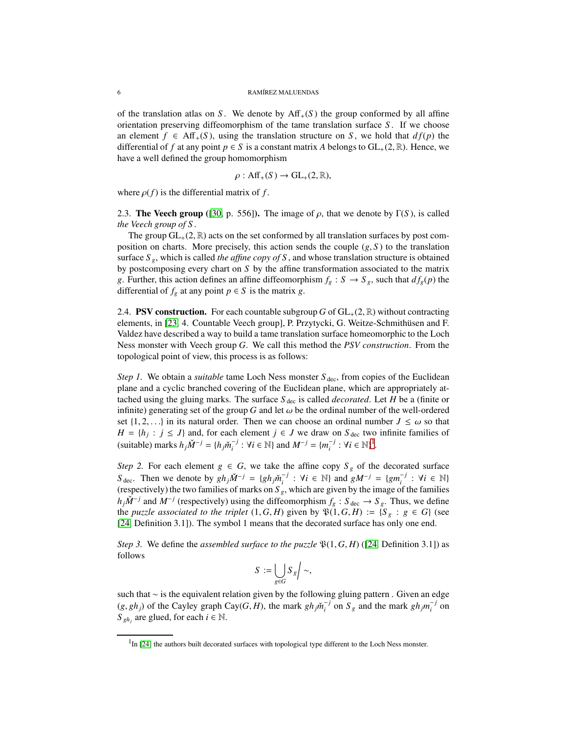of the translation atlas on *S*. We denote by  $\text{Aff}_{+}(S)$  the group conformed by all affine orientation preserving diffeomorphism of the tame translation surface *S* . If we choose an element  $f \in Aff_+(S)$ , using the translation structure on *S*, we hold that  $df(p)$  the differential of *f* at any point  $p \in S$  is a constant matrix *A* belongs to  $GL_+(2, \mathbb{R})$ . Hence, we have a well defined the group homomorphism

$$
\rho: \textup{Aff}_+(S) \to \textup{GL}_+(2,\mathbb{R}),
$$

where  $\rho(f)$  is the differential matrix of *f*.

2.3. **The Veech group** ([\[30,](#page-14-14) p. 556]). The image of  $\rho$ , that we denote by Γ(*S*), is called *the Veech group of S* .

The group  $GL_+(2, \mathbb{R})$  acts on the set conformed by all translation surfaces by post composition on charts. More precisely, this action sends the couple  $(g, S)$  to the translation surface  $S_g$ , which is called *the affine copy of* S, and whose translation structure is obtained by postcomposing every chart on *S* by the affine transformation associated to the matrix *g*. Further, this action defines an affine diffeomorphism  $f_g : S \to S_g$ , such that  $df_g(p)$  the differential of  $f_g$  at any point  $p \in S$  is the matrix *g*.

2.4. **PSV construction.** For each countable subgroup *G* of  $GL_+(2, \mathbb{R})$  without contracting elements, in [\[23,](#page-14-19) 4. Countable Veech group], P. Przytycki, G. Weitze-Schmithüsen and F. Valdez have described a way to build a tame translation surface homeomorphic to the Loch Ness monster with Veech group *G*. We call this method the *PSV construction*. From the topological point of view, this process is as follows:

*Step 1.* We obtain a *suitable* tame Loch Ness monster  $S_{\text{dec}}$ , from copies of the Euclidean plane and a cyclic branched covering of the Euclidean plane, which are appropriately attached using the gluing marks. The surface  $S_{\text{dec}}$  is called *decorated*. Let *H* be a (finite or infinite) generating set of the group *G* and let  $\omega$  be the ordinal number of the well-ordered set  $\{1, 2, \ldots\}$  in its natural order. Then we can choose an ordinal number  $J \leq \omega$  so that *H* = { $h_j$  : *j* ≤ *J*} and, for each element *j* ∈ *J* we draw on  $S_{\text{dec}}$  two infinite families of  $(\text{suit}) \text{ marks } h_j \tilde{M}^{-j} = \{h_j \tilde{m}_i^{-j} : \forall i \in \mathbb{N}\} \text{ and } M^{-j} = \{m_i^{-j} : \forall i \in \mathbb{N}\}^1.$  $(\text{suit}) \text{ marks } h_j \tilde{M}^{-j} = \{h_j \tilde{m}_i^{-j} : \forall i \in \mathbb{N}\} \text{ and } M^{-j} = \{m_i^{-j} : \forall i \in \mathbb{N}\}^1.$  $(\text{suit}) \text{ marks } h_j \tilde{M}^{-j} = \{h_j \tilde{m}_i^{-j} : \forall i \in \mathbb{N}\} \text{ and } M^{-j} = \{m_i^{-j} : \forall i \in \mathbb{N}\}^1.$ 

*Step 2.* For each element  $g \in G$ , we take the affine copy  $S_g$  of the decorated surface *S*<sub>dec</sub>. Then we denote by  $gh_j\check{M}^{-j} = \{gh_j\check{m}_i^{-j} : \forall i \in \mathbb{N}\}\$  and  $gM^{-j} = \{gm_i^{-j} : \forall i \in \mathbb{N}\}\$ (respectively) the two families of marks on  $S<sub>g</sub>$ , which are given by the image of the families  $h_j \check{M}^{-j}$  and  $M^{-j}$  (respectively) using the diffeomorphism  $f_g : S_{\text{dec}} \to S_g$ . Thus, we define the *puzzle associated to the triplet*  $(1, G, H)$  given by  $\mathfrak{P}(1, G, H) := \{S_g : g \in G\}$  (see [\[24,](#page-14-21) Definition 3.1]). The symbol 1 means that the decorated surface has only one end.

*Step 3.* We define the *assembled surface to the puzzle*  $\mathfrak{P}(1, G, H)$  ([\[24,](#page-14-21) Definition 3.1]) as follows

$$
S := \bigcup_{g \in G} S_g / \sim,
$$

such that ∼ is the equivalent relation given by the following gluing pattern. Given an edge  $(g, gh_j)$  of the Cayley graph Cay(*G*, *H*), the mark  $gh_j\tilde{m}_i^{-j}$  on  $S_g$  and the mark  $gh_jm_i^{-j}$  on  $S_{gh_j}$  are glued, for each  $i \in \mathbb{N}$ .

<span id="page-5-0"></span><sup>&</sup>lt;sup>1</sup>In [\[24\]](#page-14-21) the authors built decorated surfaces with topological type different to the Loch Ness monster.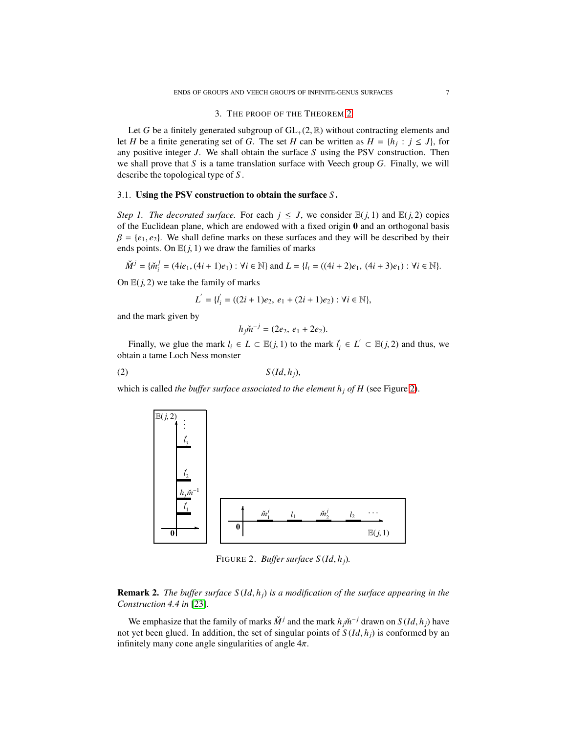### 3. THE PROOF OF THE THEOREM [2](#page-1-0)

<span id="page-6-0"></span>Let *G* be a finitely generated subgroup of  $GL_+(2, \mathbb{R})$  without contracting elements and let *H* be a finite generating set of *G*. The set *H* can be written as  $H = \{h_j : j \le J\}$ , for any positive integer *J*. We shall obtain the surface *S* using the PSV construction. Then we shall prove that *S* is a tame translation surface with Veech group *G*. Finally, we will describe the topological type of *S* .

## 3.1. Using the PSV construction to obtain the surface *S* .

*Step 1. The decorated surface.* For each  $j \leq J$ , we consider  $\mathbb{E}(j, 1)$  and  $\mathbb{E}(j, 2)$  copies of the Euclidean plane, which are endowed with a fixed origin  $\bf{0}$  and an orthogonal basis  $\beta = \{e_1, e_2\}$ . We shall define marks on these surfaces and they will be described by their ends points. On  $E(j, 1)$  we draw the families of marks

$$
\check{M}^j = \{ \check{m}_i^j = (4ie_1, (4i+1)e_1) : \forall i \in \mathbb{N} \} \text{ and } L = \{ l_i = ((4i+2)e_1, (4i+3)e_1) : \forall i \in \mathbb{N} \}.
$$

On  $E(j, 2)$  we take the family of marks

$$
L^{'} = \{l^{'}_{i} = ((2i + 1)e_{2}, e_{1} + (2i + 1)e_{2}) : \forall i \in \mathbb{N}\},
$$

and the mark given by

<span id="page-6-2"></span>
$$
h_j \check{m}^{-j} = (2e_2, e_1 + 2e_2).
$$

Finally, we glue the mark  $l_i \in L \subset \mathbb{E}(j, 1)$  to the mark  $l'_i \in L' \subset \mathbb{E}(j, 2)$  and thus, we obtain a tame Loch Ness monster

$$
(2) \tS(Id, h_j),
$$

<span id="page-6-1"></span>which is called *the buffer surface associated to the element*  $h_j$  *of H* (see Figure [2\)](#page-6-1).



FIGURE 2. *Buffer surface S* (*Id*, *hj*)*.*

Remark 2. *The buffer surface S* (*Id*, *hj*) *is a modification of the surface appearing in the Construction 4.4 in* [\[23\]](#page-14-19)*.*

We emphasize that the family of marks  $\check{M}^j$  and the mark  $h_j \check{m}^{-j}$  drawn on  $S(Id, h_j)$  have not yet been glued. In addition, the set of singular points of  $S(Id, h_i)$  is conformed by an infinitely many cone angle singularities of angle  $4\pi$ .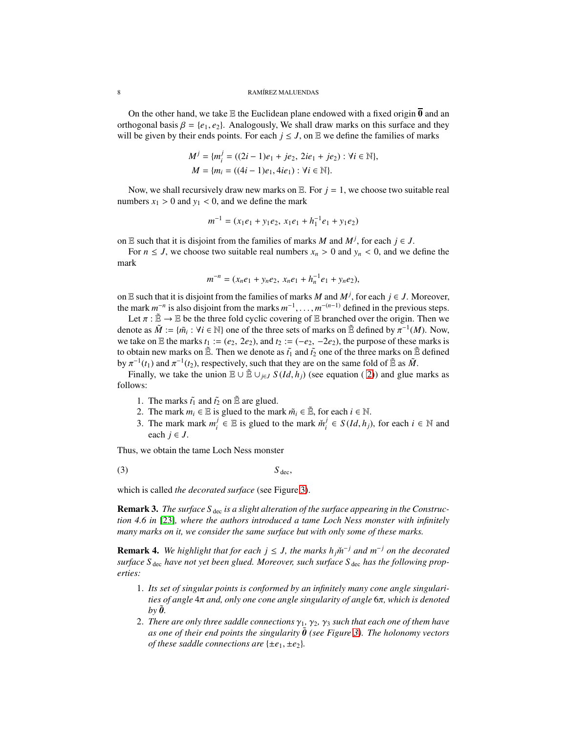On the other hand, we take E the Euclidean plane endowed with a fixed origin  $\overline{0}$  and an orthogonal basis  $\beta = \{e_1, e_2\}$ . Analogously, We shall draw marks on this surface and they will be given by their ends points. For each  $j \le J$ , on  $E$  we define the families of marks

$$
M^{j} = \{m_{i}^{j} = ((2i - 1)e_{1} + je_{2}, 2ie_{1} + je_{2}) : \forall i \in \mathbb{N}\},
$$
  

$$
M = \{m_{i} = ((4i - 1)e_{1}, 4ie_{1}) : \forall i \in \mathbb{N}\}.
$$

Now, we shall recursively draw new marks on  $E$ . For  $j = 1$ , we choose two suitable real numbers  $x_1 > 0$  and  $y_1 < 0$ , and we define the mark

$$
m^{-1} = (x_1e_1 + y_1e_2, x_1e_1 + h_1^{-1}e_1 + y_1e_2)
$$

on E such that it is disjoint from the families of marks *M* and  $M^j$ , for each  $j \in J$ .

For  $n \leq J$ , we choose two suitable real numbers  $x_n > 0$  and  $y_n < 0$ , and we define the mark

$$
m^{-n} = (x_n e_1 + y_n e_2, x_n e_1 + h_n^{-1} e_1 + y_n e_2),
$$

on E such that it is disjoint from the families of marks *M* and  $M^j$ , for each  $j \in J$ . Moreover, the mark  $m^{-n}$  is also disjoint from the marks  $m^{-1}, \ldots, m^{-(n-1)}$  defined in the previous steps.

Let  $\pi : \tilde{E} \to E$  be the three fold cyclic covering of E branched over the origin. Then we denote as  $\tilde{M} := \{ \tilde{m}_i : \forall i \in \mathbb{N} \}$  one of the three sets of marks on  $\tilde{E}$  defined by  $\pi^{-1}(M)$ . Now, we take on E the marks  $t_1 := (e_2, 2e_2)$ , and  $t_2 := (-e_2, -2e_2)$ , the purpose of these marks is to obtain new marks on  $\tilde{E}$ . Then we denote as  $\tilde{t}_1$  and  $\tilde{t}_2$  one of the three marks on  $\tilde{E}$  defined by  $\pi^{-1}(t_1)$  and  $\pi^{-1}(t_2)$ , respectively, such that they are on the same fold of  $\tilde{\mathbb{E}}$  as  $\tilde{M}$ .

Finally, we take the union  $\mathbb{E} \cup \mathbb{E} \cup_{i \in J} S(Id, h_i)$  (see equation (2)) and glue marks as follows:

- 1. The marks  $\tilde{t}_1$  and  $\tilde{t}_2$  on  $\tilde{\mathbb{E}}$  are glued.
- 2. The mark  $m_i \in \mathbb{E}$  is glued to the mark  $\tilde{m}_i \in \tilde{\mathbb{E}}$ , for each  $i \in \mathbb{N}$ .
- <span id="page-7-0"></span>3. The mark mark  $m_i^j$  $j \in E$  is glued to the mark  $\check{m}^j_i$  $i$ <sup>*i*</sup> ∈ *S*(*Id*, *h<sub>j</sub>*), for each *i* ∈ N and each  $j \in J$ .

Thus, we obtain the tame Loch Ness monster

(3)  $S_{\text{dec}}$ ,

which is called *the decorated surface* (see Figure [3\)](#page-8-0).

Remark 3. The surface S<sub>dec</sub> is a slight alteration of the surface appearing in the Construc*tion 4.6 in* [\[23\]](#page-14-19)*, where the authors introduced a tame Loch Ness monster with infinitely many marks on it, we consider the same surface but with only some of these marks.*

<span id="page-7-1"></span>**Remark 4.** We highlight that for each  $j \leq J$ , the marks  $h_j \check{m}^{-j}$  and  $m^{-j}$  on the decorated *surface S* dec *have not yet been glued. Moreover, such surface S* dec *has the following properties:*

- 1. *Its set of singular points is conformed by an infinitely many cone angle singularities of angle* 4π *and, only one cone angle singularity of angle* 6π*, which is denoted*  $by \tilde{\boldsymbol{\theta}}$ .
- 2. *There are only three saddle connections*  $\gamma_1$ ,  $\gamma_2$ ,  $\gamma_3$  *such that each one of them have as one of their end points the singularity*  $\hat{\theta}$  (see Figure [3\)](#page-8-0). The holonomy vectors *of these saddle connections are*  $\{\pm e_1, \pm e_2\}$ *.*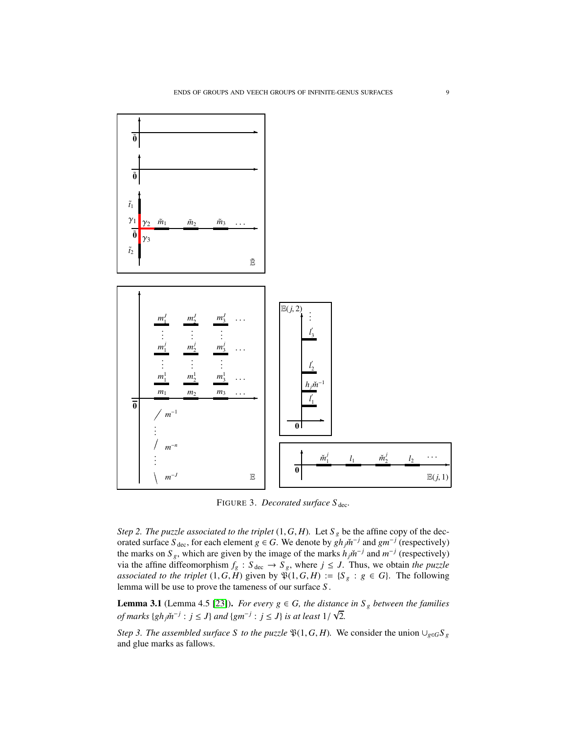<span id="page-8-0"></span>

FIGURE 3. *Decorated surface* S<sub>dec</sub>.

*Step 2. The puzzle associated to the triplet*  $(1, G, H)$ *.* Let  $S_g$  be the affine copy of the decorated surface  $S_{\text{dec}}$ , for each element *g* ∈ *G*. We denote by  $gh_j \check{m}^{-j}$  and  $gm^{-j}$  (respectively) the marks on  $S_g$ , which are given by the image of the marks  $h_j \tilde{m}^{-j}$  and  $m^{-j}$  (respectively) via the affine diffeomorphism  $f_g : S_{\text{dec}} \to S_g$ , where  $j \leq J$ . Thus, we obtain *the puzzle associated to the triplet*  $(1, G, H)$  given by  $\tilde{\mathcal{V}}(1, G, H) := \{S_g : g \in G\}$ . The following lemma will be use to prove the tameness of our surface *S* .

<span id="page-8-1"></span>**Lemma 3.1** (Lemma 4.5 [\[23\]](#page-14-19)). *For every*  $g \in G$ *, the distance in*  $S_g$  *between the families of marks*  $\{gh_j \check{m}^{-j} : j \leq J\}$  *and*  $\{gm^{-j} : j \leq J\}$  *is at least*  $1/\sqrt{2}$ *.* 

*Step 3. The assembled surface S to the puzzle*  $\mathfrak{P}(1, G, H)$ *.* We consider the union ∪<sub>*g*∈*G*</sub>*S*<sub>*g*</sub> and glue marks as fallows.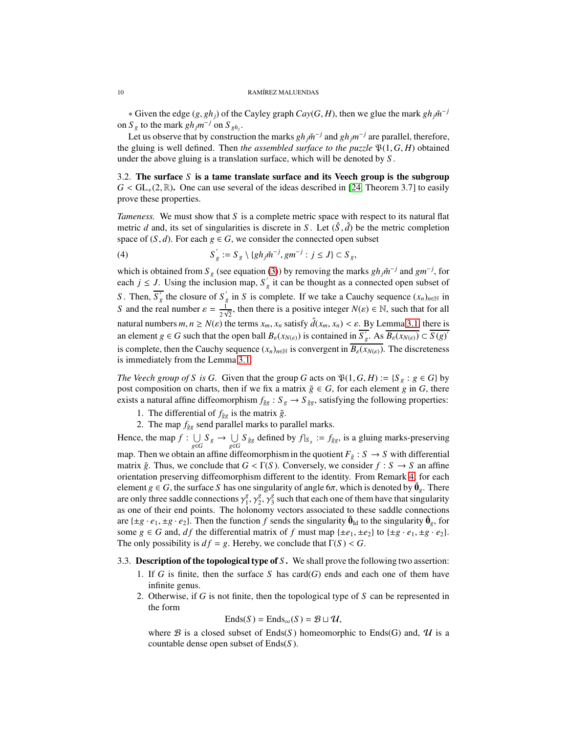∗ Given the edge  $(g, gh_j)$  of the Cayley graph  $Cay(G, H)$ , then we glue the mark  $gh_j\check{m}^{-j}$ on  $S_g$  to the mark  $gh_jm^{-j}$  on  $S_{gh_j}$ .

Let us observe that by construction the marks  $gh_j\dot{m}^{-j}$  and  $gh_jm^{-j}$  are parallel, therefore, the gluing is well defined. Then *the assembled surface to the puzzle*  $\mathfrak{P}(1, G, H)$  obtained under the above gluing is a translation surface, which will be denoted by *S* .

3.2. The surface *S* is a tame translate surface and its Veech group is the subgroup  $G <$  GL<sub>+</sub>(2, R). One can use several of the ideas described in [\[24,](#page-14-21) Theorem 3.7] to easily prove these properties.

*Tameness.* We must show that *S* is a complete metric space with respect to its natural flat metric *d* and, its set of singularities is discrete in *S*. Let  $(\hat{S}, \hat{d})$  be the metric completion space of  $(S, d)$ . For each  $g \in G$ , we consider the connected open subset

<span id="page-9-0"></span>(4) 
$$
S'_{g} := S_{g} \setminus \{gh_j \check{m}^{-j}, gm^{-j} : j \leq J\} \subset S_{g},
$$

which is obtained from  $S_g$  (see equation [\(3\)](#page-7-0)) by removing the marks  $gh_j\tilde{m}^{-j}$  and  $gm^{-j}$ , for each  $j \leq J$ . Using the inclusion map,  $S'_g$  it can be thought as a connected open subset of *S*. Then,  $S'_g$  the closure of  $S'_g$  in *S* is complete. If we take a Cauchy sequence  $(x_n)_{n\in\mathbb{N}}$  in *S* and the real number  $\varepsilon = \frac{1}{2}$  $\frac{1}{2\sqrt{2}}$ , then there is a positive integer  $N(\varepsilon) \in \mathbb{N}$ , such that for all natural numbers  $m, n \ge N(\varepsilon)$  the terms  $x_m, x_n$  satisfy  $\hat{d}(x_m, x_n) < \varepsilon$ . By Lemma [3.1,](#page-8-1) there is an element  $g \in G$  such that the open ball  $B_{\varepsilon}(x_{N(\varepsilon)})$  is contained in  $S'_{g}$ . As  $B_{\varepsilon}(x_{N(\varepsilon)}) \subset S(g)'$ is complete, then the Cauchy sequence  $(x_n)_{n \in \mathbb{N}}$  is convergent in  $\overline{B_{\varepsilon}(x_{N(\varepsilon)})}$ . The discreteness is immediately from the Lemma [3.1.](#page-8-1)

*The Veech group of S is G.* Given that the group *G* acts on  $\mathcal{P}(1, G, H) := \{S_g : g \in G\}$  by post composition on charts, then if we fix a matrix  $\tilde{g} \in G$ , for each element *g* in *G*, there exists a natural affine diffeomorphism  $f_{\tilde{g}g}: S_g \to S_{\tilde{g}g}$ , satisfying the following properties:

1. The differential of  $f_{\tilde{g}g}$  is the matrix  $\tilde{g}$ .

2. The map  $f_{\tilde{g}g}$  send parallel marks to parallel marks.

Hence, the map  $f: \bigcup$  $\bigcup_{g \in G} S_g \to \bigcup_{g \in G}$ *U S*  $\bar{g}$ <sup>∈*G*</sup> *gg* defined by *f* |*S<sub>g</sub>* : = *f*<sub> $\bar{g}g$ , is a gluing marks-preserving</sub> map. Then we obtain an affine diffeomorphism in the quotient  $F_{\tilde{g}} : S \to S$  with differential matrix  $\tilde{g}$ . Thus, we conclude that  $G < \Gamma(S)$ . Conversely, we consider  $f : S \to S$  an affine orientation preserving diffeomorphism different to the identity. From Remark [4,](#page-7-1) for each element *g*  $\in$  *G*, the surface *S* has one singularity of angle 6 $\pi$ , which is denoted by  $\tilde{\mathbf{0}}_g$ . There are only three saddle connections  $\gamma_1^g$  $^{g}_{1}, \gamma^{g}_{2}$  $\sum_{2}^{g}$ ,  $\gamma_3^g$  $\frac{g}{3}$  such that each one of them have that singularity as one of their end points. The holonomy vectors associated to these saddle connections are  $\{\pm g \cdot e_1, \pm g \cdot e_2\}$ . Then the function *f* sends the singularity  $\tilde{\mathbf{0}}_{\text{Id}}$  to the singularity  $\tilde{\mathbf{0}}_g$ , for some  $g \in G$  and, *df* the differential matrix of *f* must map  $\{\pm e_1, \pm e_2\}$  to  $\{\pm g \cdot e_1, \pm g \cdot e_2\}$ . The only possibility is  $df = g$ . Hereby, we conclude that  $\Gamma(S) < G$ .

## 3.3. Description of the topological type of *S* . We shall prove the following two assertion:

- 1. If *G* is finite, then the surface *S* has card(*G*) ends and each one of them have infinite genus.
- 2. Otherwise, if *G* is not finite, then the topological type of *S* can be represented in the form

$$
Ends(S) = Ends_{\infty}(S) = \mathcal{B} \sqcup \mathcal{U},
$$

where B is a closed subset of Ends(S) homeomorphic to Ends(G) and,  $\mathcal U$  is a countable dense open subset of Ends(*S* ).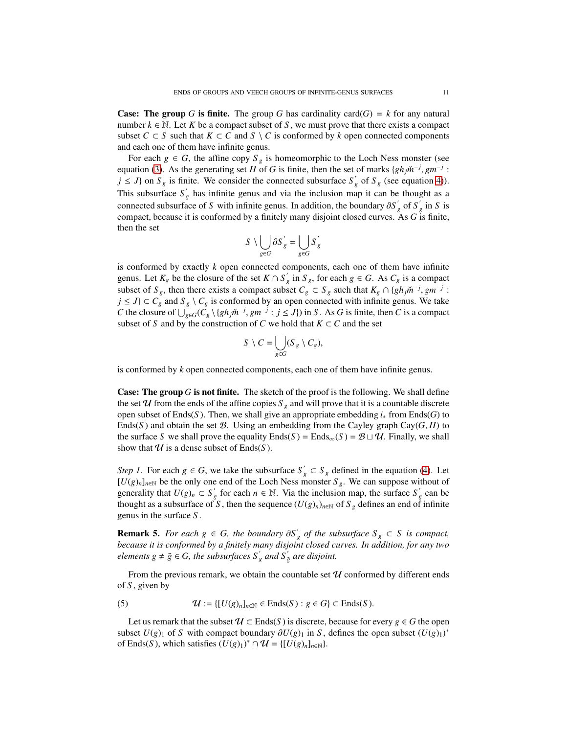**Case:** The group *G* is finite. The group *G* has cardinality card(*G*) = *k* for any natural number  $k \in \mathbb{N}$ . Let K be a compact subset of S, we must prove that there exists a compact subset  $C \subset S$  such that  $K \subset C$  and  $S \setminus C$  is conformed by *k* open connected components and each one of them have infinite genus.

For each  $g \in G$ , the affine copy  $S_g$  is homeomorphic to the Loch Ness monster (see equation [\(3\)](#page-7-0). As the generating set *H* of *G* is finite, then the set of marks  $\{gh_j\tilde{m}^{-j}, gm^{-j}$ :  $j \leq J$ } on  $S_g$  is finite. We consider the connected subsurface  $S'_g$  of  $S_g$  (see equation [4\)](#page-9-0)). This subsurface  $S'_g$  has infinite genus and via the inclusion map it can be thought as a connected subsurface of *S* with infinite genus. In addition, the boundary  $\partial S'_g$  of  $S'_g$  in *S* is compact, because it is conformed by a finitely many disjoint closed curves. As *G* is finite, then the set

$$
S\ \backslash \bigcup_{g\in G}\partial S^{'}_{g}=\bigcup_{g\in G}S^{'}_{g}
$$

is conformed by exactly *k* open connected components, each one of them have infinite genus. Let  $K_g$  be the closure of the set  $K \cap S'_g$  in  $S_g$ , for each  $g \in G$ . As  $C_g$  is a compact subset of  $S_g$ , then there exists a compact subset  $C_g \subset S_g$  such that  $K_g \cap \{gh_j\check{m}^{-j}, gm^{-j}$ : *j* ≤ *J*} ⊂ *C<sub>g</sub>* and  $S_g \setminus C_g$  is conformed by an open connected with infinite genus. We take *C* the closure of  $\bigcup_{g \in G} (C_g \setminus \{gh_j m^{-j}, gm^{-j} : j \leq J\})$  in *S*. As *G* is finite, then *C* is a compact subset of *S* and by the construction of *C* we hold that  $K \subset C$  and the set

$$
S \setminus C = \bigcup_{g \in G} (S_g \setminus C_g),
$$

is conformed by *k* open connected components, each one of them have infinite genus.

**Case: The group G is not finite.** The sketch of the proof is the following. We shall define the set U from the ends of the affine copies  $S_g$  and will prove that it is a countable discrete open subset of Ends(*S* ). Then, we shall give an appropriate embedding *i*<sup>∗</sup> from Ends(*G*) to Ends(S) and obtain the set B. Using an embedding from the Cayley graph Cay( $G$ ,  $H$ ) to the surface *S* we shall prove the equality  $\text{End}(S) = \text{End}(S) = \mathcal{B} \sqcup \mathcal{U}$ . Finally, we shall show that  $U$  is a dense subset of Ends(S).

*Step 1.* For each  $g \in G$ , we take the subsurface  $S'_g \subset S_g$  defined in the equation [\(4\)](#page-9-0). Let  $[U(g)_n]_{n \in \mathbb{N}}$  be the only one end of the Loch Ness monster  $S_g$ . We can suppose without of generality that  $U(g)_n \subset S'_g$  for each  $n \in \mathbb{N}$ . Via the inclusion map, the surface  $S'_g$  can be thought as a subsurface of *S*, then the sequence  $(U(g)_n)_{n\in\mathbb{N}}$  of  $S_g$  defines an end of infinite genus in the surface *S* .

**Remark 5.** *For each*  $g \in G$ , the boundary  $\partial S'_g$  of the subsurface  $S_g \subset S$  *is compact*, *because it is conformed by a finitely many disjoint closed curves. In addition, for any two elements*  $g \neq \tilde{g} \in G$ , the subsurfaces  $S'_{g}$  and  $S'_{\tilde{g}}$  are disjoint.

From the previous remark, we obtain the countable set  $U$  conformed by different ends of *S* , given by

<span id="page-10-0"></span>(5)  $\mathcal{U} := \{ [U(g)_n]_{n \in \mathbb{N}} \in \text{Ends}(S) : g \in G \} \subset \text{Ends}(S).$ 

Let us remark that the subset  $U \subset Ends(S)$  is discrete, because for every  $g \in G$  the open subset  $U(g)_1$  of *S* with compact boundary  $\partial U(g)_1$  in *S*, defines the open subset  $(U(g)_1)^*$ of Ends(*S*), which satisfies  $(U(g)_1)^* \cap \mathcal{U} = \{ [U(g)_n]_{n \in \mathbb{N}} \}.$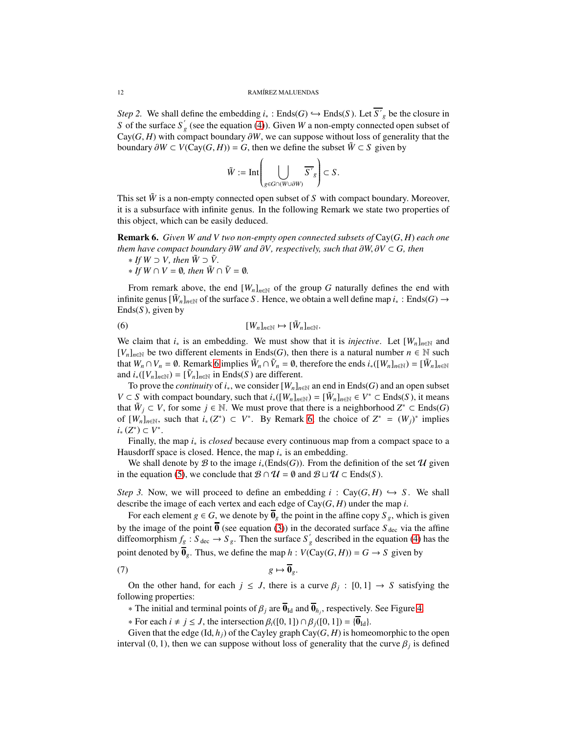*Step 2.* We shall define the embedding  $i_*$ : Ends(*G*)  $\hookrightarrow$  Ends(*S*). Let *S*<sup> $\prime$ </sup><sub>*g*</sub> be the closure in *S* of the surface  $S'_g$  (see the equation [\(4\)](#page-9-0)). Given *W* a non-empty connected open subset of Cay( $G$ ,  $H$ ) with compact boundary  $\partial W$ , we can suppose without loss of generality that the boundary  $\partial W \subset V(Cay(G, H)) = G$ , then we define the subset  $\tilde{W} \subset S$  given by

$$
\tilde{W}:=\mathrm{Int}\!\left(\bigcup_{g\in G\cap (W\cup \partial W)}\overline{S'}_g\right)\subset S\,.
$$

This set  $\tilde{W}$  is a non-empty connected open subset of *S* with compact boundary. Moreover, it is a subsurface with infinite genus. In the following Remark we state two properties of this object, which can be easily deduced.

<span id="page-11-0"></span>Remark 6. *Given W and V two non-empty open connected subsets of* Cay(*G*, *H*) *each one them have compact boundary* ∂*W and* ∂*V, respectively, such that* ∂*W*, ∂*V* ⊂ *G, then*

\* If 
$$
W \supset V
$$
, then  $\tilde{W} \supset \tilde{V}$ .

<span id="page-11-2"></span> $*$  *If W* ∩ *V* = **0***, then*  $\tilde{W} \cap \tilde{V} = \emptyset$ *.* 

From remark above, the end  $[W_n]_{n \in \mathbb{N}}$  of the group *G* naturally defines the end with infinite genus  $[\tilde{W}_n]_{n \in \mathbb{N}}$  of the surface *S*. Hence, we obtain a well define map  $i_*$ : Ends(*G*)  $\rightarrow$  $Ends(S)$ , given by

(6) 
$$
[W_n]_{n \in \mathbb{N}} \mapsto [\tilde{W}_n]_{n \in \mathbb{N}}.
$$

We claim that  $i_*$  is an embedding. We must show that it is *injective*. Let  $[W_n]_{n\in\mathbb{N}}$  and  $[V_n]_{n \in \mathbb{N}}$  be two different elements in Ends(*G*), then there is a natural number  $n \in \mathbb{N}$  such that  $W_n \cap V_n = \emptyset$ . Remark [6](#page-11-0) implies  $\tilde{W}_n \cap \tilde{V}_n = \emptyset$ , therefore the ends  $i_*([W_n]_{n \in \mathbb{N}}) = [\tilde{W}_n]_{n \in \mathbb{N}}$ and  $i_*([V_n]_{n \in \mathbb{N}}) = [\tilde{V}_n]_{n \in \mathbb{N}}$  in Ends(*S*) are different.

To prove the *continuity* of  $i_*,$  we consider  $[W_n]_{n \in \mathbb{N}}$  an end in Ends(*G*) and an open subset *V* ⊂ *S* with compact boundary, such that  $i_*([W_n]_{n \in \mathbb{N}}) = [\tilde{W}_n]_{n \in \mathbb{N}} \in V^* \subset \text{End}(S)$ , it means that  $\tilde{W}_j$  ⊂ *V*, for some *j* ∈ N. We must prove that there is a neighborhood  $Z^*$  ⊂ Ends(*G*) of  $[W_n]_{n \in \mathbb{N}}$ , such that  $i_*(Z^*) \subset V^*$ . By Remark [6,](#page-11-0) the choice of  $Z^* = (W_j)^*$  implies *i*∗ (*Z*<sup>\*</sup>) ⊂ *V*<sup>\*</sup>.

Finally, the map *i*<sup>∗</sup> is *closed* because every continuous map from a compact space to a Hausdorff space is closed. Hence, the map  $i_*$  is an embedding.

We shall denote by B to the image  $i_*(\text{Ends}(G))$ . From the definition of the set  $\mathcal U$  given in the equation [\(5\)](#page-10-0), we conclude that  $\mathcal{B} \cap \mathcal{U} = \emptyset$  and  $\mathcal{B} \sqcup \mathcal{U} \subset \text{Ends}(S)$ .

*Step 3.* Now, we will proceed to define an embedding  $i : Cay(G, H) \hookrightarrow S$ . We shall describe the image of each vertex and each edge of Cay(*G*, *H*) under the map *i*.

For each element *g*  $\in$  *G*, we denote by  $\overline{\mathbf{0}}_g$  the point in the affine copy  $S_g$ , which is given by the image of the point  $\overline{0}$  (see equation [\(3\)](#page-7-0)) in the decorated surface  $S_{\text{dec}}$  via the affine diffeomorphism  $f_g : S_{\text{dec}} \to S_g$ . Then the surface  $S'_g$  described in the equation [\(4\)](#page-9-0) has the point denoted by  $\overline{\mathbf{0}}_p$ . Thus, we define the map  $h : V(Cay(G, H)) = G \rightarrow S$  given by

$$
(7) \t\t\t g \mapsto \overline{\mathbf{0}}_g.
$$

On the other hand, for each  $j \leq J$ , there is a curve  $\beta_j : [0,1] \to S$  satisfying the following properties:

<span id="page-11-1"></span> $∗$  The initial and terminal points of  $β_j$  are  **and**  $**0**<sub>h<sub>j</sub></sub>$ **, respectively. See Figure [4.](#page-12-0)** 

 $\ast$  For each *i* ≠ *j* ≤ *J*, the intersection  $β<sub>i</sub>([0, 1]) ∩ β<sub>j</sub>([0, 1]) = {①<sub>Id</sub>}$ .

Given that the edge  $(\text{Id}, h_i)$  of the Cayley graph Cay $(G, H)$  is homeomorphic to the open interval  $(0, 1)$ , then we can suppose without loss of generality that the curve  $\beta_j$  is defined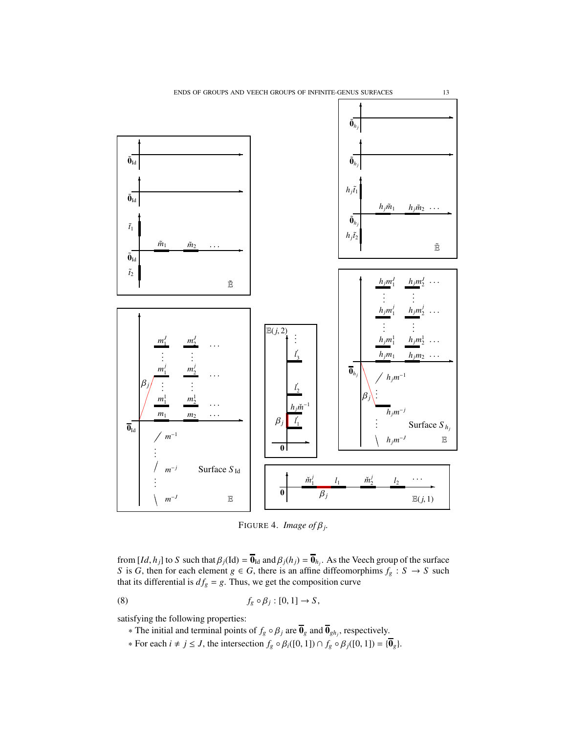<span id="page-12-0"></span>

<span id="page-12-1"></span>FIGURE 4. *Image of*  $\beta_j$ .

from  $[Id, h_j]$  to *S* such that  $\beta_j(\text{Id}) = \overline{\mathbf{0}}_{\text{Id}}$  and  $\beta_j(h_j) = \overline{\mathbf{0}}_{h_j}$ . As the Veech group of the surface *S* is *G*, then for each element  $g \in G$ , there is an affine diffeomorphims  $f_g : S \to S$  such that its differential is  $df_g = g$ . Thus, we get the composition curve

(8) 
$$
f_g \circ \beta_j : [0,1] \to S,
$$

satisfying the following properties:

- ∗ The initial and terminal points of  $f_g ∘ β_j$  are  $\mathbf{0}_g$  and  $\mathbf{0}_{gh_j}$ , respectively.
- ∗ For each *i* ≠ *j* ≤ *J*, the intersection  $f_g \circ \beta_i([0, 1]) \cap f_g \circ \beta_j([0, 1]) = {\overline{\mathbf{0}}_g}$ .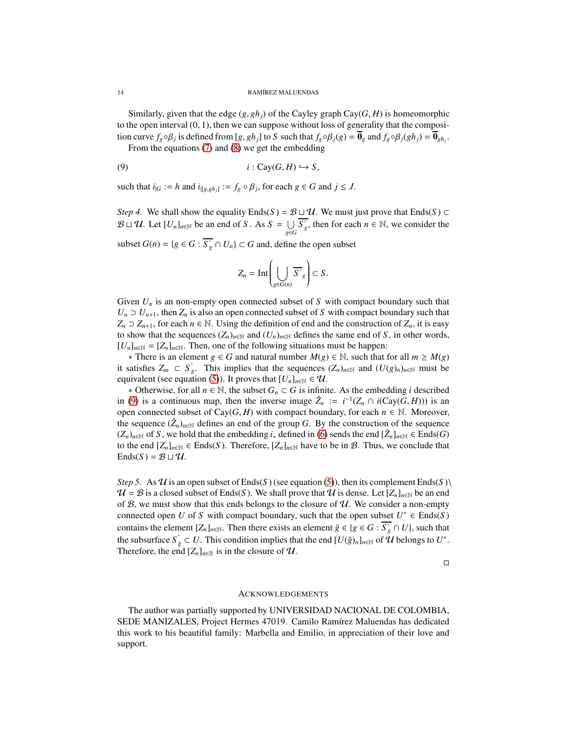Similarly, given that the edge  $(g, gh_j)$  of the Cayley graph Cay( $G, H$ ) is homeomorphic to the open interval  $(0, 1)$ , then we can suppose without loss of generality that the composition curve  $f_g \circ \beta_j$  is defined from [g, gh<sub>j</sub>] to S such that  $f_g \circ \beta_j(g) = \overline{\mathbf{0}}_g$  and  $f_g \circ \beta_j(gh_j) = \overline{\mathbf{0}}_{gh_j}$ .

From the equations [\(7\)](#page-11-1) and [\(8\)](#page-12-1) we get the embedding

$$
(9) \t i: Cay(G, H) \hookrightarrow S,
$$

such that  $i_{|G} := h$  and  $i_{|[g,gh_j]} := f_g \circ \beta_j$ , for each  $g \in G$  and  $j \le J$ .

*Step 4.* We shall show the equality Ends(*S*) =  $\mathcal{B} \sqcup \mathcal{U}$ . We must just prove that Ends(*S*) ⊂  $\mathcal{B} \sqcup \mathcal{U}$ . Let  $[U_n]_{n \in \mathbb{N}}$  be an end of *S*. As  $S = \bigcup_{n \in \mathbb{N}}$ *g*∈*G*  $S'_g$ , then for each *n*  $\in \mathbb{N}$ , we consider the subset  $G(n) = \{g \in G : \overline{S'_g} \cap U_n\} \subset G$  and, define the open subset

<span id="page-13-0"></span>
$$
Z_n = \mathrm{Int}\left(\bigcup_{g \in G(n)} \overline{S'}_g\right) \subset S.
$$

Given  $U_n$  is an non-empty open connected subset of *S* with compact boundary such that  $U_n \supset U_{n+1}$ , then  $Z_n$  is also an open connected subset of *S* with compact boundary such that *Z*<sub>*n*</sub> ⊃ *Z*<sub>*n*+1</sub>, for each *n* ∈ N. Using the definition of end and the construction of *Z*<sub>*n*</sub>, it is easy to show that the sequences  $(Z_n)_{n\in\mathbb{N}}$  and  $(U_n)_{n\in\mathbb{N}}$  defines the same end of *S*, in other words,  $[U_n]_{n \in \mathbb{N}} = [Z_n]_{n \in \mathbb{N}}$ . Then, one of the following situations must be happen:

<sup>∗</sup> There is an element *<sup>g</sup>* <sup>∈</sup> *<sup>G</sup>* and natural number *<sup>M</sup>*(*g*) <sup>∈</sup> <sup>N</sup>, such that for all *<sup>m</sup>* <sup>≥</sup> *<sup>M</sup>*(*g*) it satisfies  $Z_m \subset S_g$ . This implies that the sequences  $(Z_n)_{n \in \mathbb{N}}$  and  $(U(g)_n)_{n \in \mathbb{N}}$  must be equivalent (see equation [\(5\)](#page-10-0)). It proves that  $[U_n]_{n \in \mathbb{N}} \in \mathcal{U}$ .

<sup>∗</sup> Otherwise, for all *<sup>n</sup>* <sup>∈</sup> <sup>N</sup>, the subset *<sup>G</sup><sup>n</sup>* <sup>⊂</sup> *<sup>G</sup>* is infinite. As the embedding *<sup>i</sup>* described in [\(9\)](#page-13-0) is a continuous map, then the inverse image  $\hat{Z}_n := i^{-1}(Z_n \cap i(\text{Cay}(G,H)))$  is an open connected subset of Cay( $G$ ,  $H$ ) with compact boundary, for each  $n \in \mathbb{N}$ . Moreover, the sequence  $(\hat{Z}_n)_{n \in \mathbb{N}}$  defines an end of the group *G*. By the construction of the sequence  $(Z_n)_{n \in \mathbb{N}}$  of *S*, we hold that the embedding *i*<sub>∗</sub> defined in [\(6\)](#page-11-2) sends the end  $[\hat{Z}_n]_{n \in \mathbb{N}}$  ∈ Ends(*G*) to the end  $[Z_n]_{n \in \mathbb{N}} \in$  Ends(*S*). Therefore,  $[Z_n]_{n \in \mathbb{N}}$  have to be in *B*. Thus, we conclude that  $\text{Ends}(S) = \mathcal{B} \sqcup \mathcal{U}.$ 

*Step 5.* As  $U$  is an open subset of Ends(*S*) (see equation [\(5\)](#page-10-0)), then its complement Ends(*S*) \  $U = B$  is a closed subset of Ends(S). We shall prove that U is dense. Let  $[Z_n]_{n \in \mathbb{N}}$  be an end of  $B$ , we must show that this ends belongs to the closure of  $U$ . We consider a non-empty connected open *U* of *S* with compact boundary, such that the open subset  $U^* \in \text{Ends}(S)$ contains the element  $[Z_n]_{n \in \mathbb{N}}$ . Then there exists an element  $\tilde{g} \in \{g \in G : S'_g \cap U\}$ , such that the subsurface  $S'_{\tilde{g}} \subset U$ . This condition implies that the end  $[U(\tilde{g})_n]_{n \in \mathbb{N}}$  of  $U$  belongs to  $U^*$ . Therefore, the end  $[Z_n]_{n \in \mathbb{B}}$  is in the closure of  $\mathcal{U}$ .

 $\Box$ 

## ACKNOWLEDGEMENTS

The author was partially supported by UNIVERSIDAD NACIONAL DE COLOMBIA, SEDE MANIZALES, Project Hermes 47019. Camilo Ramírez Maluendas has dedicated this work to his beautiful family: Marbella and Emilio, in appreciation of their love and support.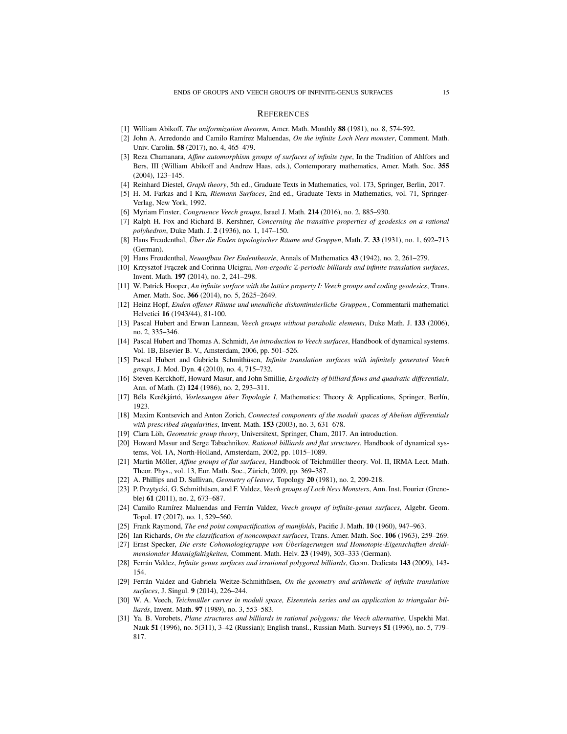#### **REFERENCES**

- <span id="page-14-29"></span>[1] William Abikoff, *The uniformization theorem*, Amer. Math. Monthly 88 (1981), no. 8, 574-592.
- <span id="page-14-24"></span>[2] John A. Arredondo and Camilo Ramírez Maluendas, *On the infinite Loch Ness monster*, Comment. Math. Univ. Carolin. 58 (2017), no. 4, 465–479.
- <span id="page-14-10"></span>[3] Reza Chamanara, *Affine automorphism groups of surfaces of infinite type*, In the Tradition of Ahlfors and Bers, III (William Abikoff and Andrew Haas, eds.), Contemporary mathematics, Amer. Math. Soc. 355 (2004), 123–145.
- <span id="page-14-27"></span>[4] Reinhard Diestel, *Graph theory*, 5th ed., Graduate Texts in Mathematics, vol. 173, Springer, Berlin, 2017.
- <span id="page-14-30"></span>[5] H. M. Farkas and I Kra, *Riemann Surfaces*, 2nd ed., Graduate Texts in Mathematics, vol. 71, Springer-Verlag, New York, 1992.
- <span id="page-14-16"></span>[6] Myriam Finster, *Congruence Veech groups*, Israel J. Math. 214 (2016), no. 2, 885–930.
- <span id="page-14-11"></span>[7] Ralph H. Fox and Richard B. Kershner, *Concerning the transitive properties of geodesics on a rational polyhedron*, Duke Math. J. 2 (1936), no. 1, 147–150.
- <span id="page-14-0"></span>[8] Hans Freudenthal, *Über die Enden topologischer Räume und Gruppen*, Math. Z. 33 (1931), no. 1, 692–713 (German).
- <span id="page-14-1"></span>[9] Hans Freudenthal, *Neuaufbau Der Endentheorie*, Annals of Mathematics 43 (1942), no. 2, 261–279.
- <span id="page-14-12"></span>[10] Krzysztof Fraczek and Corinna Ulcigrai, *Non-ergodic* Z-periodic billiards and infinite translation surfaces, Invent. Math. 197 (2014), no. 2, 241–298.
- <span id="page-14-17"></span>[11] W. Patrick Hooper, *An infinite surface with the lattice property I: Veech groups and coding geodesics*, Trans. Amer. Math. Soc. 366 (2014), no. 5, 2625–2649.
- <span id="page-14-2"></span>[12] Heinz Hopf, *Enden offener Räume und unendliche diskontinuierliche Gruppen.*, Commentarii mathematici Helvetici 16 (1943/44), 81-100.
- <span id="page-14-18"></span>[13] Pascal Hubert and Erwan Lanneau, *Veech groups without parabolic elements*, Duke Math. J. 133 (2006), no. 2, 335–346.
- <span id="page-14-20"></span>[14] Pascal Hubert and Thomas A. Schmidt, *An introduction to Veech surfaces*, Handbook of dynamical systems. Vol. 1B, Elsevier B. V., Amsterdam, 2006, pp. 501–526.
- <span id="page-14-5"></span>[15] Pascal Hubert and Gabriela Schmithüsen, *Infinite translation surfaces with infinitely generated Veech groups*, J. Mod. Dyn. 4 (2010), no. 4, 715–732.
- <span id="page-14-6"></span>[16] Steven Kerckhoff, Howard Masur, and John Smillie, *Ergodicity of billiard flows and quadratic differentials*, Ann. of Math. (2) 124 (1986), no. 2, 293–311.
- <span id="page-14-3"></span>[17] Béla Kerékjártó, *Vorlesungen über Topologie I*, Mathematics: Theory & Applications, Springer, Berlín, 1923.
- <span id="page-14-7"></span>[18] Maxim Kontsevich and Anton Zorich, *Connected components of the moduli spaces of Abelian differentials with prescribed singularities*, Invent. Math. 153 (2003), no. 3, 631–678.
- <span id="page-14-28"></span>[19] Clara Löh, *Geometric group theory*, Universitext, Springer, Cham, 2017. An introduction.
- <span id="page-14-9"></span>[20] Howard Masur and Serge Tabachnikov, *Rational billiards and flat structures*, Handbook of dynamical systems, Vol. 1A, North-Holland, Amsterdam, 2002, pp. 1015–1089.
- <span id="page-14-8"></span>[21] Martin Möller, *Affine groups of flat surfaces*, Handbook of Teichmüller theory. Vol. II, IRMA Lect. Math. Theor. Phys., vol. 13, Eur. Math. Soc., Zürich, 2009, pp. 369–387.
- <span id="page-14-25"></span>[22] A. Phillips and D. Sullivan, *Geometry of leaves*, Topology 20 (1981), no. 2, 209-218.
- <span id="page-14-19"></span>[23] P. Przytycki, G. Schmithüsen, and F. Valdez, *Veech groups of Loch Ness Monsters*, Ann. Inst. Fourier (Grenoble) 61 (2011), no. 2, 673–687.
- <span id="page-14-21"></span>[24] Camilo Ramírez Maluendas and Ferrán Valdez, *Veech groups of infinite-genus surfaces*, Algebr. Geom. Topol. 17 (2017), no. 1, 529–560.
- <span id="page-14-22"></span>[25] Frank Raymond, *The end point compactification of manifolds*, Pacific J. Math. 10 (1960), 947–963.
- <span id="page-14-4"></span>[26] Ian Richards, *On the classification of noncompact surfaces*, Trans. Amer. Math. Soc. 106 (1963), 259–269.
- <span id="page-14-26"></span>[27] Ernst Specker, *Die erste Cohomologiegruppe von Überlagerungen und Homotopie-Eigenschaften dreidimensionaler Mannigfaltigkeiten*, Comment. Math. Helv. 23 (1949), 303–333 (German).
- <span id="page-14-23"></span>[28] Ferrán Valdez, *Infinite genus surfaces and irrational polygonal billiards*, Geom. Dedicata 143 (2009), 143- 154.
- <span id="page-14-13"></span>[29] Ferrán Valdez and Gabriela Weitze-Schmithüsen, *On the geometry and arithmetic of infinite translation surfaces*, J. Singul. 9 (2014), 226–244.
- <span id="page-14-14"></span>[30] W. A. Veech, *Teichmüller curves in moduli space, Eisenstein series and an application to triangular billiards*, Invent. Math. 97 (1989), no. 3, 553–583.
- <span id="page-14-15"></span>[31] Ya. B. Vorobets, *Plane structures and billiards in rational polygons: the Veech alternative*, Uspekhi Mat. Nauk 51 (1996), no. 5(311), 3–42 (Russian); English transl., Russian Math. Surveys 51 (1996), no. 5, 779– 817.